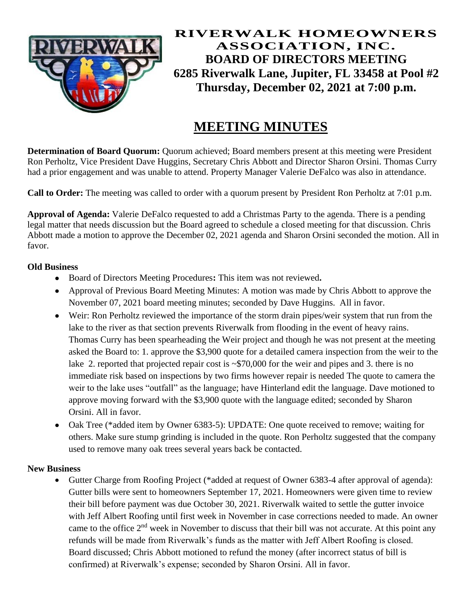

**RIVERWALK HOMEOWNERS ASSOCIATION, INC. BOARD OF DIRECTORS MEETING 6285 Riverwalk Lane, Jupiter, FL 33458 at Pool #2 Thursday, December 02, 2021 at 7:00 p.m.**

# **MEETING MINUTES**

**Determination of Board Quorum:** Quorum achieved; Board members present at this meeting were President Ron Perholtz, Vice President Dave Huggins, Secretary Chris Abbott and Director Sharon Orsini. Thomas Curry had a prior engagement and was unable to attend. Property Manager Valerie DeFalco was also in attendance.

**Call to Order:** The meeting was called to order with a quorum present by President Ron Perholtz at 7:01 p.m.

**Approval of Agenda:** Valerie DeFalco requested to add a Christmas Party to the agenda. There is a pending legal matter that needs discussion but the Board agreed to schedule a closed meeting for that discussion. Chris Abbott made a motion to approve the December 02, 2021 agenda and Sharon Orsini seconded the motion. All in favor.

#### **Old Business**

- Board of Directors Meeting Procedures**:** This item was not reviewed**.**
- Approval of Previous Board Meeting Minutes: A motion was made by Chris Abbott to approve the November 07, 2021 board meeting minutes; seconded by Dave Huggins. All in favor.
- Weir: Ron Perholtz reviewed the importance of the storm drain pipes/weir system that run from the lake to the river as that section prevents Riverwalk from flooding in the event of heavy rains. Thomas Curry has been spearheading the Weir project and though he was not present at the meeting asked the Board to: 1. approve the \$3,900 quote for a detailed camera inspection from the weir to the lake 2. reported that projected repair cost is  $\sim $70,000$  for the weir and pipes and 3. there is no immediate risk based on inspections by two firms however repair is needed The quote to camera the weir to the lake uses "outfall" as the language; have Hinterland edit the language. Dave motioned to approve moving forward with the \$3,900 quote with the language edited; seconded by Sharon Orsini. All in favor.
- Oak Tree (\*added item by Owner 6383-5): UPDATE: One quote received to remove; waiting for others. Make sure stump grinding is included in the quote. Ron Perholtz suggested that the company used to remove many oak trees several years back be contacted.

#### **New Business**

• Gutter Charge from Roofing Project (\*added at request of Owner 6383-4 after approval of agenda): Gutter bills were sent to homeowners September 17, 2021. Homeowners were given time to review their bill before payment was due October 30, 2021. Riverwalk waited to settle the gutter invoice with Jeff Albert Roofing until first week in November in case corrections needed to made. An owner came to the office 2<sup>nd</sup> week in November to discuss that their bill was not accurate. At this point any refunds will be made from Riverwalk's funds as the matter with Jeff Albert Roofing is closed. Board discussed; Chris Abbott motioned to refund the money (after incorrect status of bill is confirmed) at Riverwalk's expense; seconded by Sharon Orsini. All in favor.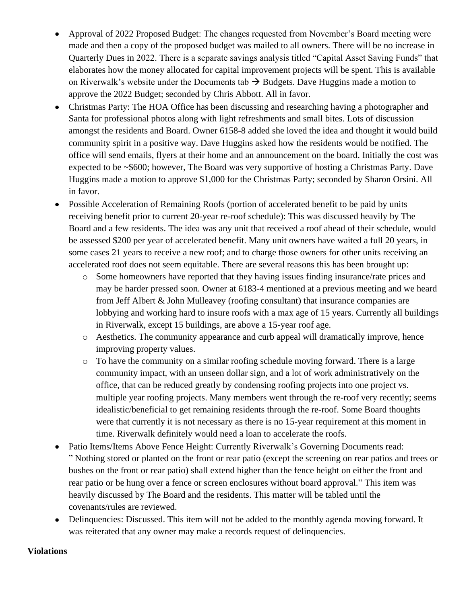- Approval of 2022 Proposed Budget: The changes requested from November's Board meeting were made and then a copy of the proposed budget was mailed to all owners. There will be no increase in Quarterly Dues in 2022. There is a separate savings analysis titled "Capital Asset Saving Funds" that elaborates how the money allocated for capital improvement projects will be spent. This is available on Riverwalk's website under the Documents tab  $\rightarrow$  Budgets. Dave Huggins made a motion to approve the 2022 Budget; seconded by Chris Abbott. All in favor.
- Christmas Party: The HOA Office has been discussing and researching having a photographer and Santa for professional photos along with light refreshments and small bites. Lots of discussion amongst the residents and Board. Owner 6158-8 added she loved the idea and thought it would build community spirit in a positive way. Dave Huggins asked how the residents would be notified. The office will send emails, flyers at their home and an announcement on the board. Initially the cost was expected to be ~\$600; however, The Board was very supportive of hosting a Christmas Party. Dave Huggins made a motion to approve \$1,000 for the Christmas Party; seconded by Sharon Orsini. All in favor.
- Possible Acceleration of Remaining Roofs (portion of accelerated benefit to be paid by units receiving benefit prior to current 20-year re-roof schedule): This was discussed heavily by The Board and a few residents. The idea was any unit that received a roof ahead of their schedule, would be assessed \$200 per year of accelerated benefit. Many unit owners have waited a full 20 years, in some cases 21 years to receive a new roof; and to charge those owners for other units receiving an accelerated roof does not seem equitable. There are several reasons this has been brought up:
	- o Some homeowners have reported that they having issues finding insurance/rate prices and may be harder pressed soon. Owner at 6183-4 mentioned at a previous meeting and we heard from Jeff Albert & John Mulleavey (roofing consultant) that insurance companies are lobbying and working hard to insure roofs with a max age of 15 years. Currently all buildings in Riverwalk, except 15 buildings, are above a 15-year roof age.
	- o Aesthetics. The community appearance and curb appeal will dramatically improve, hence improving property values.
	- o To have the community on a similar roofing schedule moving forward. There is a large community impact, with an unseen dollar sign, and a lot of work administratively on the office, that can be reduced greatly by condensing roofing projects into one project vs. multiple year roofing projects. Many members went through the re-roof very recently; seems idealistic/beneficial to get remaining residents through the re-roof. Some Board thoughts were that currently it is not necessary as there is no 15-year requirement at this moment in time. Riverwalk definitely would need a loan to accelerate the roofs.
- Patio Items/Items Above Fence Height: Currently Riverwalk's Governing Documents read: " Nothing stored or planted on the front or rear patio (except the screening on rear patios and trees or bushes on the front or rear patio) shall extend higher than the fence height on either the front and rear patio or be hung over a fence or screen enclosures without board approval." This item was heavily discussed by The Board and the residents. This matter will be tabled until the covenants/rules are reviewed.
- Delinquencies: Discussed. This item will not be added to the monthly agenda moving forward. It was reiterated that any owner may make a records request of delinquencies.

#### **Violations**